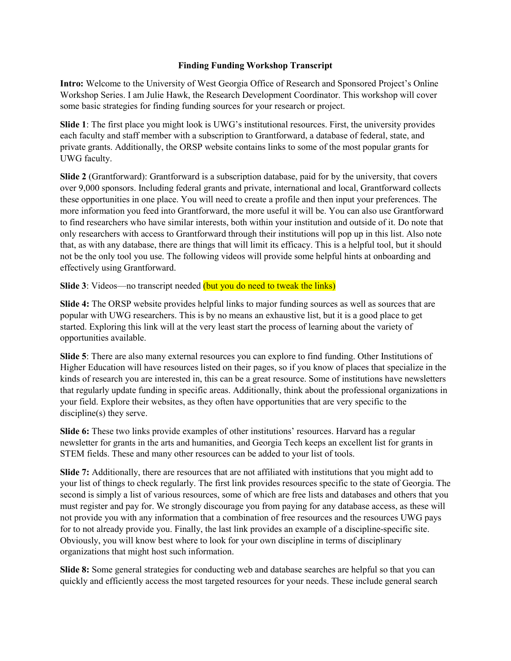## **Finding Funding Workshop Transcript**

**Intro:** Welcome to the University of West Georgia Office of Research and Sponsored Project's Online Workshop Series. I am Julie Hawk, the Research Development Coordinator. This workshop will cover some basic strategies for finding funding sources for your research or project.

**Slide 1**: The first place you might look is UWG's institutional resources. First, the university provides each faculty and staff member with a subscription to Grantforward, a database of federal, state, and private grants. Additionally, the ORSP website contains links to some of the most popular grants for UWG faculty.

**Slide 2** (Grantforward): Grantforward is a subscription database, paid for by the university, that covers over 9,000 sponsors. Including federal grants and private, international and local, Grantforward collects these opportunities in one place. You will need to create a profile and then input your preferences. The more information you feed into Grantforward, the more useful it will be. You can also use Grantforward to find researchers who have similar interests, both within your institution and outside of it. Do note that only researchers with access to Grantforward through their institutions will pop up in this list. Also note that, as with any database, there are things that will limit its efficacy. This is a helpful tool, but it should not be the only tool you use. The following videos will provide some helpful hints at onboarding and effectively using Grantforward.

**Slide 3**: Videos—no transcript needed (but you do need to tweak the links)

**Slide 4:** The ORSP website provides helpful links to major funding sources as well as sources that are popular with UWG researchers. This is by no means an exhaustive list, but it is a good place to get started. Exploring this link will at the very least start the process of learning about the variety of opportunities available.

**Slide 5**: There are also many external resources you can explore to find funding. Other Institutions of Higher Education will have resources listed on their pages, so if you know of places that specialize in the kinds of research you are interested in, this can be a great resource. Some of institutions have newsletters that regularly update funding in specific areas. Additionally, think about the professional organizations in your field. Explore their websites, as they often have opportunities that are very specific to the discipline(s) they serve.

**Slide 6:** These two links provide examples of other institutions' resources. Harvard has a regular newsletter for grants in the arts and humanities, and Georgia Tech keeps an excellent list for grants in STEM fields. These and many other resources can be added to your list of tools.

**Slide 7:** Additionally, there are resources that are not affiliated with institutions that you might add to your list of things to check regularly. The first link provides resources specific to the state of Georgia. The second is simply a list of various resources, some of which are free lists and databases and others that you must register and pay for. We strongly discourage you from paying for any database access, as these will not provide you with any information that a combination of free resources and the resources UWG pays for to not already provide you. Finally, the last link provides an example of a discipline-specific site. Obviously, you will know best where to look for your own discipline in terms of disciplinary organizations that might host such information.

**Slide 8:** Some general strategies for conducting web and database searches are helpful so that you can quickly and efficiently access the most targeted resources for your needs. These include general search